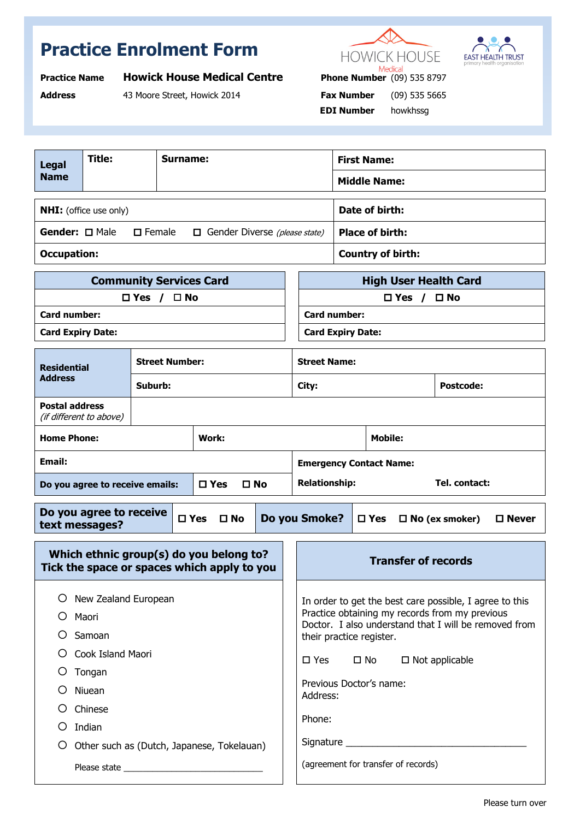## **Practice Enrolment Form**





| <b>Practice Name</b> | <b>Howick House Medical Centre</b> | <b>Phone Number</b> (09) 535 8797 | P             |
|----------------------|------------------------------------|-----------------------------------|---------------|
| <b>Address</b>       | 43 Moore Street, Howick 2014       | <b>Fax Number</b>                 | (09) 535 5665 |

**Phone Number** (09) 535 8797  **EDI Number** howkhssg

| <b>Legal</b><br><b>Name</b>                                                            | Title:                  |                                | Surname:      |                                                                                                                                                                                                |                | <b>First Name:</b><br><b>Middle Name:</b> |                          |                          |                        |                              |  |
|----------------------------------------------------------------------------------------|-------------------------|--------------------------------|---------------|------------------------------------------------------------------------------------------------------------------------------------------------------------------------------------------------|----------------|-------------------------------------------|--------------------------|--------------------------|------------------------|------------------------------|--|
| <b>NHI:</b> (office use only)                                                          |                         |                                |               |                                                                                                                                                                                                | Date of birth: |                                           |                          |                          |                        |                              |  |
| Gender: <b>O</b> Male                                                                  |                         | $\Box$ Female                  |               | $\Box$ Gender Diverse (please state)                                                                                                                                                           |                |                                           |                          | <b>Place of birth:</b>   |                        |                              |  |
| <b>Occupation:</b>                                                                     |                         |                                |               |                                                                                                                                                                                                |                |                                           |                          | <b>Country of birth:</b> |                        |                              |  |
|                                                                                        |                         | <b>Community Services Card</b> |               |                                                                                                                                                                                                |                |                                           |                          |                          |                        | <b>High User Health Card</b> |  |
|                                                                                        |                         | $\Box$ Yes / $\Box$ No         |               |                                                                                                                                                                                                |                |                                           |                          |                          | $\Box$ Yes / $\Box$ No |                              |  |
| Card number:                                                                           |                         |                                |               |                                                                                                                                                                                                |                |                                           | <b>Card number:</b>      |                          |                        |                              |  |
| <b>Card Expiry Date:</b>                                                               |                         |                                |               |                                                                                                                                                                                                |                |                                           | <b>Card Expiry Date:</b> |                          |                        |                              |  |
| <b>Residential</b>                                                                     |                         | <b>Street Number:</b>          |               |                                                                                                                                                                                                |                | <b>Street Name:</b>                       |                          |                          |                        |                              |  |
| <b>Address</b>                                                                         |                         | Suburb:                        |               |                                                                                                                                                                                                |                | City:                                     |                          |                          |                        | <b>Postcode:</b>             |  |
| <b>Postal address</b>                                                                  | (if different to above) |                                |               |                                                                                                                                                                                                |                |                                           |                          |                          |                        |                              |  |
| <b>Home Phone:</b>                                                                     |                         |                                | <b>Work:</b>  |                                                                                                                                                                                                |                |                                           |                          | <b>Mobile:</b>           |                        |                              |  |
| Email:                                                                                 |                         |                                |               |                                                                                                                                                                                                |                | <b>Emergency Contact Name:</b>            |                          |                          |                        |                              |  |
| $\square$ Yes<br>$\square$ No<br>Do you agree to receive emails:                       |                         |                                |               | <b>Relationship:</b><br>Tel. contact:                                                                                                                                                          |                |                                           |                          |                          |                        |                              |  |
| Do you agree to receive<br>$\square$ Yes<br>$\square$ No<br>text messages?             |                         |                                | Do you Smoke? |                                                                                                                                                                                                | $\square$ Yes  |                                           | $\Box$ No (ex smoker)    | $\square$ Never          |                        |                              |  |
| Which ethnic group(s) do you belong to?<br>Tick the space or spaces which apply to you |                         |                                |               | <b>Transfer of records</b>                                                                                                                                                                     |                |                                           |                          |                          |                        |                              |  |
| New Zealand European<br>Ő<br>Maori<br>Samoan<br>Ő                                      |                         |                                |               | In order to get the best care possible, I agree to this<br>Practice obtaining my records from my previous<br>Doctor. I also understand that I will be removed from<br>their practice register. |                |                                           |                          |                          |                        |                              |  |
| O<br>Cook Island Maori                                                                 |                         |                                |               | $\square$ No<br>$\square$ Yes<br>$\Box$ Not applicable                                                                                                                                         |                |                                           |                          |                          |                        |                              |  |
| O<br>Tongan                                                                            |                         |                                |               | Previous Doctor's name:                                                                                                                                                                        |                |                                           |                          |                          |                        |                              |  |
| Niuean                                                                                 |                         |                                |               | Address:                                                                                                                                                                                       |                |                                           |                          |                          |                        |                              |  |
|                                                                                        | Chinese                 |                                |               |                                                                                                                                                                                                | Phone:         |                                           |                          |                          |                        |                              |  |
| Ő                                                                                      | Indian                  |                                |               |                                                                                                                                                                                                |                |                                           |                          |                          |                        |                              |  |
| Other such as (Dutch, Japanese, Tokelauan)<br>O                                        |                         |                                |               |                                                                                                                                                                                                |                |                                           |                          |                          |                        |                              |  |
|                                                                                        |                         |                                |               | (agreement for transfer of records)                                                                                                                                                            |                |                                           |                          |                          |                        |                              |  |